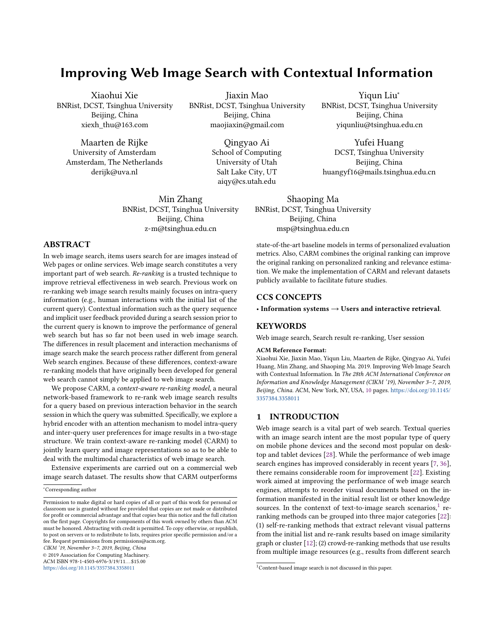# Improving Web Image Search with Contextual Information

Xiaohui Xie BNRist, DCST, Tsinghua University Beijing, China xiexh\_thu@163.com

Maarten de Rijke University of Amsterdam Amsterdam, The Netherlands derijk@uva.nl

Jiaxin Mao BNRist, DCST, Tsinghua University Beijing, China maojiaxin@gmail.com

> Qingyao Ai School of Computing University of Utah Salt Lake City, UT aiqy@cs.utah.edu

Min Zhang BNRist, DCST, Tsinghua University Beijing, China z-m@tsinghua.edu.cn

Yiqun Liu<sup>∗</sup> BNRist, DCST, Tsinghua University Beijing, China yiqunliu@tsinghua.edu.cn

Yufei Huang DCST, Tsinghua University Beijing, China huangyf16@mails.tsinghua.edu.cn

Shaoping Ma BNRist, DCST, Tsinghua University Beijing, China msp@tsinghua.edu.cn

## ABSTRACT

In web image search, items users search for are images instead of Web pages or online services. Web image search constitutes a very important part of web search. Re-ranking is a trusted technique to improve retrieval effectiveness in web search. Previous work on re-ranking web image search results mainly focuses on intra-query information (e.g., human interactions with the initial list of the current query). Contextual information such as the query sequence and implicit user feedback provided during a search session prior to the current query is known to improve the performance of general web search but has so far not been used in web image search. The differences in result placement and interaction mechanisms of image search make the search process rather different from general Web search engines. Because of these differences, context-aware re-ranking models that have originally been developed for general web search cannot simply be applied to web image search.

We propose CARM, a context-aware re-ranking model, a neural network-based framework to re-rank web image search results for a query based on previous interaction behavior in the search session in which the query was submitted. Specifically, we explore a hybrid encoder with an attention mechanism to model intra-query and inter-query user preferences for image results in a two-stage structure. We train context-aware re-ranking model (CARM) to jointly learn query and image representations so as to be able to deal with the multimodal characteristics of web image search.

Extensive experiments are carried out on a commercial web image search dataset. The results show that CARM outperforms

<sup>∗</sup>Corresponding author

CIKM '19, November 3–7, 2019, Beijing, China

© 2019 Association for Computing Machinery.

ACM ISBN 978-1-4503-6976-3/19/11...\$15.00 <https://doi.org/10.1145/3357384.3358011>

state-of-the-art baseline models in terms of personalized evaluation metrics. Also, CARM combines the original ranking can improve the original ranking on personalized ranking and relevance estimation. We make the implementation of CARM and relevant datasets publicly available to facilitate future studies.

## CCS CONCEPTS

• Information systems  $\rightarrow$  Users and interactive retrieval.

# **KEYWORDS**

Web image search, Search result re-ranking, User session

#### ACM Reference Format:

Xiaohui Xie, Jiaxin Mao, Yiqun Liu, Maarten de Rijke, Qingyao Ai, Yufei Huang, Min Zhang, and Shaoping Ma. 2019. Improving Web Image Search with Contextual Information. In The 28th ACM International Conference on Information and Knowledge Management (CIKM '19), November 3–7, 2019, Beijing, China. ACM, New York, NY, USA, [10](#page-9-0) pages. [https://doi.org/10.1145/](https://doi.org/10.1145/3357384.3358011) [3357384.3358011](https://doi.org/10.1145/3357384.3358011)

# 1 INTRODUCTION

Web image search is a vital part of web search. Textual queries with an image search intent are the most popular type of query on mobile phone devices and the second most popular on desktop and tablet devices [\[28\]](#page-9-1). While the performance of web image search engines has improved considerably in recent years [\[7,](#page-9-2) [36\]](#page-9-3), there remains considerable room for improvement [\[22\]](#page-9-4). Existing work aimed at improving the performance of web image search engines, attempts to reorder visual documents based on the information manifested in the initial result list or other knowledge sources. In the contenxt of text-to-image search scenarios, $1$  reranking methods can be grouped into three major categories [\[22\]](#page-9-4): (1) self-re-ranking methods that extract relevant visual patterns from the initial list and re-rank results based on image similarity graph or cluster [\[12\]](#page-9-5); (2) crowd-re-ranking methods that use results from multiple image resources (e.g., results from different search

Permission to make digital or hard copies of all or part of this work for personal or classroom use is granted without fee provided that copies are not made or distributed for profit or commercial advantage and that copies bear this notice and the full citation on the first page. Copyrights for components of this work owned by others than ACM must be honored. Abstracting with credit is permitted. To copy otherwise, or republish, to post on servers or to redistribute to lists, requires prior specific permission and/or a fee. Request permissions from permissions@acm.org.

<span id="page-0-0"></span><sup>1</sup>Content-based image search is not discussed in this paper.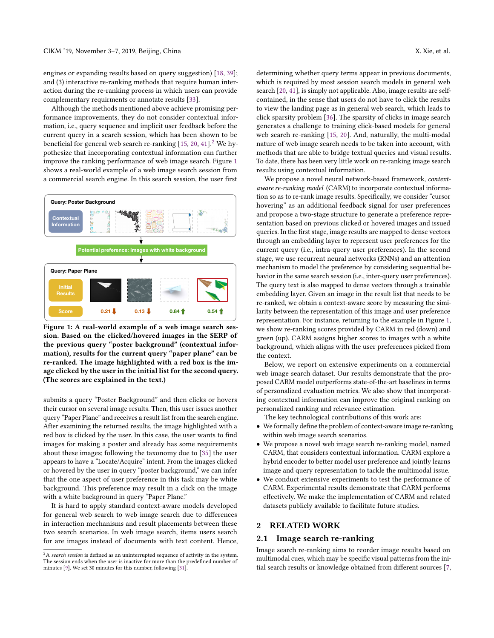engines or expanding results based on query suggestion) [\[18,](#page-9-6) [39\]](#page-9-7); and (3) interactive re-ranking methods that require human interaction during the re-ranking process in which users can provide complementary requirments or annotate results [\[33\]](#page-9-8).

Although the methods mentioned above achieve promising performance improvements, they do not consider contextual information, i.e., query sequence and implicit user feedback before the current query in a search session, which has been shown to be beneficial for general web search re-ranking  $[15, 20, 41]$  $[15, 20, 41]$  $[15, 20, 41]$  $[15, 20, 41]$  $[15, 20, 41]$ .<sup>[2](#page-1-0)</sup> We hypothesize that incorporating contextual information can further improve the ranking performance of web image search. Figure [1](#page-1-1) shows a real-world example of a web image search session from a commercial search engine. In this search session, the user first

<span id="page-1-1"></span>

Figure 1: A real-world example of a web image search session. Based on the clicked/hovered images in the SERP of the previous query "poster background" (contextual information), results for the current query "paper plane" can be re-ranked. The image highlighted with a red box is the image clicked by the user in the initial list for the second query. (The scores are explained in the text.)

submits a query "Poster Background" and then clicks or hovers their cursor on several image results. Then, this user issues another query "Paper Plane" and receives a result list from the search engine. After examining the returned results, the image highlighted with a red box is clicked by the user. In this case, the user wants to find images for making a poster and already has some requirements about these images; following the taxonomy due to [\[35\]](#page-9-12) the user appears to have a "Locate/Acquire" intent. From the images clicked or hovered by the user in query "poster background," we can infer that the one aspect of user preference in this task may be white background. This preference may result in a click on the image with a white background in query "Paper Plane."

It is hard to apply standard context-aware models developed for general web search to web image search due to differences in interaction mechanisms and result placements between these two search scenarios. In web image search, items users search for are images instead of documents with text content. Hence, determining whether query terms appear in previous documents, which is required by most session search models in general web search [\[20,](#page-9-10) [41\]](#page-9-11), is simply not applicable. Also, image results are selfcontained, in the sense that users do not have to click the results to view the landing page as in general web search, which leads to click sparsity problem [\[36\]](#page-9-3). The sparsity of clicks in image search generates a challenge to training click-based models for general web search re-ranking [\[15,](#page-9-9) [20\]](#page-9-10). And, naturally, the multi-modal nature of web image search needs to be taken into account, with methods that are able to bridge textual queries and visual results. To date, there has been very little work on re-ranking image search results using contextual information.

We propose a novel neural network-based framework, contextaware re-ranking model (CARM) to incorporate contextual information so as to re-rank image results. Specifically, we consider "cursor hovering" as an additional feedback signal for user preferences and propose a two-stage structure to generate a preference representation based on previous clicked or hovered images and issued queries. In the first stage, image results are mapped to dense vectors through an embedding layer to represent user preferences for the current query (i.e., intra-query user preferences). In the second stage, we use recurrent neural networks (RNNs) and an attention mechanism to model the preference by considering sequential behavior in the same search session (i.e., inter-query user preferences). The query text is also mapped to dense vectors through a trainable embedding layer. Given an image in the result list that needs to be re-ranked, we obtain a context-aware score by measuring the similarity between the representation of this image and user preference representation. For instance, returning to the example in Figure [1,](#page-1-1) we show re-ranking scores provided by CARM in red (down) and green (up). CARM assigns higher scores to images with a white background, which aligns with the user preferences picked from the context.

Below, we report on extensive experiments on a commercial web image search dataset. Our results demonstrate that the proposed CARM model outperforms state-of-the-art baselines in terms of personalized evaluation metrics. We also show that incorporating contextual information can improve the original ranking on personalized ranking and relevance estimation.

The key technological contributions of this work are:

- We formally define the problem of context-aware image re-ranking within web image search scenarios.
- We propose a novel web image search re-ranking model, named CARM, that considers contextual information. CARM explore a hybrid encoder to better model user preference and jointly learns image and query representation to tackle the multimodal issue.
- We conduct extensive experiments to test the performance of CARM. Experimental results demonstrate that CARM performs effectively. We make the implementation of CARM and related datasets publicly available to facilitate future studies.

# 2 RELATED WORK

## 2.1 Image search re-ranking

Image search re-ranking aims to reorder image results based on multimodal cues, which may be specific visual patterns from the initial search results or knowledge obtained from different sources [\[7,](#page-9-2)

<span id="page-1-0"></span> $2A$  search session is defined as an uninterrupted sequence of activity in the system. The session ends when the user is inactive for more than the predefined number of minutes [\[9\]](#page-9-13). We set 30 minutes for this number, following [\[31\]](#page-9-14).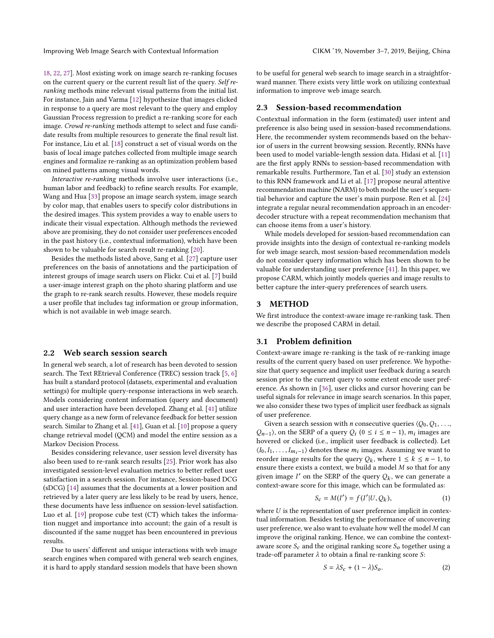Improving Web Image Search with Contextual Information CIKM '19, November 3–7, 2019, Beijing, China

[18,](#page-9-6) [22,](#page-9-4) [27\]](#page-9-15). Most existing work on image search re-ranking focuses on the current query or the current result list of the query. Self reranking methods mine relevant visual patterns from the initial list. For instance, Jain and Varma [\[12\]](#page-9-5) hypothesize that images clicked in response to a query are most relevant to the query and employ Gaussian Process regression to predict a re-ranking score for each image. Crowd re-ranking methods attempt to select and fuse candidate results from multiple resources to generate the final result list. For instance, Liu et al. [\[18\]](#page-9-6) construct a set of visual words on the basis of local image patches collected from multiple image search engines and formalize re-ranking as an optimization problem based on mined patterns among visual words.

Interactive re-ranking methods involve user interactions (i.e., human labor and feedback) to refine search results. For example, Wang and Hua [\[33\]](#page-9-8) propose an image search system, image search by color map, that enables users to specify color distributions in the desired images. This system provides a way to enable users to indicate their visual expectation. Although methods the reviewed above are promising, they do not consider user preferences encoded in the past history (i.e., contextual information), which have been shown to be valuable for search result re-ranking [\[20\]](#page-9-10).

Besides the methods listed above, Sang et al. [\[27\]](#page-9-15) capture user preferences on the basis of annotations and the participation of interest groups of image search users on Flickr. Cui et al. [\[7\]](#page-9-2) build a user-image interest graph on the photo sharing platform and use the graph to re-rank search results. However, these models require a user profile that includes tag information or group information, which is not available in web image search.

## 2.2 Web search session search

In general web search, a lot of research has been devoted to session search. The Text REtrieval Conference (TREC) session track [\[5,](#page-9-16) [6\]](#page-9-17) has built a standard protocol (datasets, experimental and evaluation settings) for multiple query-response interactions in web search. Models considering content information (query and document) and user interaction have been developed. Zhang et al. [\[41\]](#page-9-11) utilize query change as a new form of relevance feedback for better session search. Similar to Zhang et al. [\[41\]](#page-9-11), Guan et al. [\[10\]](#page-9-18) propose a query change retrieval model (QCM) and model the entire session as a Markov Decision Process.

Besides considering relevance, user session level diversity has also been used to re-rank search results [\[25\]](#page-9-19). Prior work has also investigated session-level evaluation metrics to better reflect user satisfaction in a search session. For instance, Session-based DCG (sDCG) [\[14\]](#page-9-20) assumes that the documents at a lower position and retrieved by a later query are less likely to be read by users, hence, these documents have less influence on session-level satisfaction. Luo et al. [\[19\]](#page-9-21) propose cube test (CT) which takes the information nugget and importance into account; the gain of a result is discounted if the same nugget has been encountered in previous results.

Due to users' different and unique interactions with web image search engines when compared with general web search engines, it is hard to apply standard session models that have been shown

to be useful for general web search to image search in a straightforward manner. There exists very little work on utilizing contextual information to improve web image search.

## 2.3 Session-based recommendation

Contextual information in the form (estimated) user intent and preference is also being used in session-based recommendations. Here, the recommender system recommends based on the behavior of users in the current browsing session. Recently, RNNs have been used to model variable-length session data. Hidasi et al. [\[11\]](#page-9-22) are the first apply RNNs to session-based recommendation with remarkable results. Furthermore, Tan et al. [\[30\]](#page-9-23) study an extension to this RNN framework and Li et al. [\[17\]](#page-9-24) propose neural attentive recommendation machine (NARM) to both model the user's sequential behavior and capture the user's main purpose. Ren et al. [\[24\]](#page-9-25) integrate a regular neural recommendation approach in an encoderdecoder structure with a repeat recommendation mechanism that can choose items from a user's history.

While models developed for session-based recommendation can provide insights into the design of contextual re-ranking models for web image search, most session-based recommendation models do not consider query information which has been shown to be valuable for understanding user preference [\[41\]](#page-9-11). In this paper, we propose CARM, which jointly models queries and image results to better capture the inter-query preferences of search users.

## <span id="page-2-0"></span>3 METHOD

We first introduce the context-aware image re-ranking task. Then we describe the proposed CARM in detail.

## 3.1 Problem definition

Context-aware image re-ranking is the task of re-ranking image results of the current query based on user preference. We hypothesize that query sequence and implicit user feedback during a search session prior to the current query to some extent encode user preference. As shown in [\[36\]](#page-9-3), user clicks and cursor hovering can be useful signals for relevance in image search scenarios. In this paper, we also consider these two types of implicit user feedback as signals of user preference.

Given a search session with *n* consecutive queries  $\langle Q_0, Q_1, \ldots, Q_n \rangle$  $Q_{n-1}$ ), on the SERP of a query  $Q_i$  ( $0 \le i \le n-1$ ),  $m_i$  images are howered or clicked (i.e., implicit user feedback is collected). Let hovered or clicked (i.e., implicit user feedback is collected). Let  $\langle I_0, I_1, \ldots, I_{m_i-1} \rangle$  denotes these  $m_i$  images. Assuming we want to reorder image results for the query  $O_1$ , where  $1 \le k \le n-1$  to reorder image results for the query  $Q_k$ , where  $1 \leq k \leq n-1$ , to ensure there exists a context, we build a model M so that for any ensure there exists a context, we build a model M so that for any given image I' on the SERP of the query  $Q_k$ , we can generate a context-aware score for this image, which can be formulated as: context-aware score for this image, which can be formulated as:

$$
S_c = M(I') = f(I'|U, Q_k),
$$
 (1)

where  $U$  is the representation of user preference implicit in contextual information. Besides testing the performance of uncovering user preference, we also want to evaluate how well the model M can improve the original ranking. Hence, we can combine the contextaware score  $S_c$  and the original ranking score  $S_o$  together using a trade-off parameter  $\lambda$  to obtain a final re-ranking score S:

$$
S = \lambda S_c + (1 - \lambda)S_o.
$$
 (2)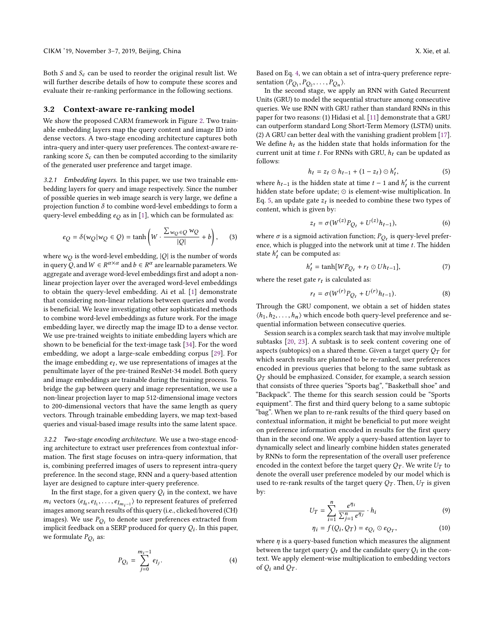Both  $S$  and  $S_c$  can be used to reorder the original result list. We will further describe details of how to compute these scores and evaluate their re-ranking performance in the following sections.

#### 3.2 Context-aware re-ranking model

We show the proposed CARM framework in Figure [2.](#page-4-0) Two trainable embedding layers map the query content and image ID into dense vectors. A two-stage encoding architecture captures both intra-query and inter-query user preferences. The context-aware reranking score  $S_c$  can then be computed according to the similarity of the generated user preference and target image.

3.2.1 Embedding layers. In this paper, we use two trainable embedding layers for query and image respectively. Since the number of possible queries in web image search is very large, we define a projection function  $\delta$  to combine word-level embeddings to form a query-level embedding  $e_O$  as in [\[1\]](#page-9-26), which can be formulated as:

$$
e_Q = \delta(w_Q | w_Q \in Q) = \tanh\left(W \cdot \frac{\sum_{w_Q \in Q} w_Q}{|Q|} + b\right), \quad (3)
$$

where  $w_O$  is the word-level embedding,  $|Q|$  is the number of words in query  $\hat{Q}$ , and  $W \in R^{\alpha \times \alpha}$  and  $b \in R^{\alpha}$  are learnable parameters. We aggregate and average word-level embeddings first and adopt a nonlinear projection layer over the averaged word-level embeddings to obtain the query-level embedding. Ai et al. [\[1\]](#page-9-26) demonstrate that considering non-linear relations between queries and words is beneficial. We leave investigating other sophisticated methods to combine word-level embeddings as future work. For the image embedding layer, we directly map the image ID to a dense vector. We use pre-trained weights to initiate embedding layers which are shown to be beneficial for the text-image task [\[34\]](#page-9-27). For the word embedding, we adopt a large-scale embedding corpus [\[29\]](#page-9-28). For the image embedding  $e_I$ , we use representations of images at the pre-trained BecNet-34 model. Both query penultimate layer of the pre-trained ResNet-34 model. Both query and image embeddings are trainable during the training process. To bridge the gap between query and image representation, we use a non-linear projection layer to map 512-dimensional image vectors to 200-dimensional vectors that have the same length as query vectors. Through trainable embedding layers, we map text-based queries and visual-based image results into the same latent space.

3.2.2 Two-stage encoding architecture. We use a two-stage encoding architecture to extract user preferences from contextual information. The first stage focuses on intra-query information, that is, combining preferred images of users to represent intra-query preference. In the second stage, RNN and a query-based attention layer are designed to capture inter-query preference.

In the first stage, for a given query  $Q_i$  in the context, we have<br>vectors (ex. ex. ) to represent features of preferred  $m_i$  vectors  $\langle e_{I_0}, e_{I_1}, \ldots, e_{I_{m_i-1}} \rangle$  to represent features of preferred<br>images among search results of this query (i.e., glicked (houared (CH)  $m_l$  vectors  $\langle e_{I_0}, e_{I_1}, \ldots, e_{I_{m_l-1}} \rangle$  to represent retaints of preferred images among search results of this query (i.e., clicked/hovered (CH) images). We use  $P_{Q_i}$  to denote user preferences extracted from<br>implicit feedback on a SEPP produced for query Q. In this paper implicit feedback on a SERP produced for query  $Q_i$ . In this paper,<br>we formulate  $P_{\Omega}$  as: we formulate  $P_{Q_i}$  as:

<span id="page-3-0"></span>
$$
P_{Q_i} = \sum_{j=0}^{m_i - 1} e_{I_j}.
$$
 (4)

Based on Eq. [4,](#page-3-0) we can obtain a set of intra-query preference representation  $\langle P_{Q_1}, P_{Q_2}, \ldots, P_{Q_n} \rangle$ .<br>In the second stage, we an

 $\lim_{n \to \infty} \langle P_{Q_1}, P_{Q_2}, \ldots, P_{Q_n}, P_{Q_n} \rangle$ .<br>In the second stage, we apply an RNN with Gated Recurrent Units (GRU) to model the sequential structure among consecutive queries. We use RNN with GRU rather than standard RNNs in this paper for two reasons: (1) Hidasi et al. [\[11\]](#page-9-22) demonstrate that a GRU can outperform standard Long Short-Term Memory (LSTM) units. (2) A GRU can better deal with the vanishing gradient problem [\[17\]](#page-9-24). We define  $h_t$  as the hidden state that holds information for the current unit at time  $t$ . For RNNs with GRU,  $h_t$  can be updated as follows:

<span id="page-3-1"></span>
$$
h_t = z_t \odot h_{t-1} + (1 - z_t) \odot h'_t, \tag{5}
$$

where  $h_{t-1}$  is the hidden state at time  $t-1$  and  $h'_t$  is the current hidden state before undate:  $\odot$  is element-wise multiplication. In t hidden state before update; ⊙ is element-wise multiplication. In Eq. [5,](#page-3-1) an update gate  $z_t$  is needed to combine these two types of content which is given by: content, which is given by:

$$
z_t = \sigma(W^{(z)}P_{Q_t} + U^{(z)}h_{t-1}),
$$
\n(6)

where  $\sigma$  is a sigmoid activation function;  $P_{Q_t}$  is query-level prefer-<br>ence which is plugged into the network unit at time t. The hidden ence, which is plugged into the network unit at time  $t$ . The hidden state  $h'_t$  can be computed as:

$$
h'_t = \tanh[WP_{Q_t} + r_t \odot Uh_{t-1}],\tag{7}
$$

where the reset gate  $r_t$  is calculated as:

$$
r_t = \sigma(W^{(r)}P_{Q_t} + U^{(r)}h_{t-1}).
$$
\n(8)

Through the GRU component, we obtain a set of hidden states  $\langle h_1, h_2, \ldots, h_n \rangle$  which encode both query-level preference and sequential information between consecutive queries.

Session search is a complex search task that may involve multiple subtasks [\[20,](#page-9-10) [23\]](#page-9-29). A subtask is to seek content covering one of aspects (subtopics) on a shared theme. Given a target query  $Q_T$  for which search results are planned to be re-ranked, user preferences encoded in previous queries that belong to the same subtask as  $\mathcal{Q}_T$  should be emphasized. Consider, for example, a search session that consists of three queries "Sports bag", "Basketball shoe" and "Backpack". The theme for this search session could be "Sports equipment". The first and third query belong to a same subtopic "bag". When we plan to re-rank results of the third query based on contextual information, it might be beneficial to put more weight on preference information encoded in results for the first query than in the second one. We apply a query-based attention layer to dynamically select and linearly combine hidden states generated by RNNs to form the representation of the overall user preference encoded in the context before the target query  $Q_T$ . We write  $U_T$  to denote the overall user preference modeled by our model which is used to re-rank results of the target query  $Q_T$ . Then,  $U_T$  is given by:

$$
U_T = \sum_{i=1}^n \frac{e^{\eta_i}}{\sum_{j=1}^n e^{\eta_j}} \cdot h_i
$$
\n(9)

$$
\eta_i = f(Q_i, Q_T) = e_{Q_i} \odot e_{Q_T}, \qquad (10)
$$

where  $\eta$  is a query-based function which measures the alignment between the target query  $Q_t$  and the candidate query  $Q_i$  in the contact We apply element-wise multiplication to embedding vectors text. We apply element-wise multiplication to embedding vectors of  $Q_i$  and  $Q_T$ .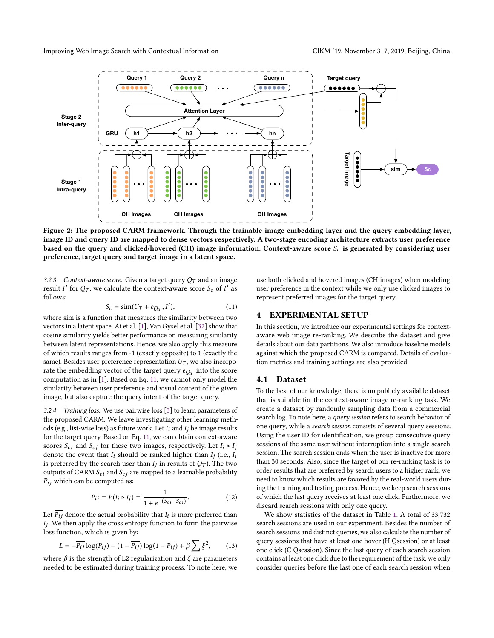<span id="page-4-0"></span>

Figure 2: The proposed CARM framework. Through the trainable image embedding layer and the query embedding layer, image ID and query ID are mapped to dense vectors respectively. A two-stage encoding architecture extracts user preference based on the query and clicked/hovered (CH) image information. Context-aware score  $S_c$  is generated by considering user preference, target query and target image in a latent space.

3.2.3 Context-aware score. Given a target query  $Q_T$  and an image result I' for  $Q_T$ , we calculate the context-aware score  $S_c$  of I' as follows: follows:

<span id="page-4-1"></span>
$$
S_c = \text{sim}(U_T + e_{Q_T}, I'),\tag{11}
$$

 $S_c = \text{sim}(U_T + e_{Q_T}, I'), \eqno{(11)}$  where sim is a function that measures the similarity between two vectors in a latent space. Ai et al. [\[1\]](#page-9-26), Van Gysel et al. [\[32\]](#page-9-30) show that cosine similarity yields better performance on measuring similarity between latent representations. Hence, we also apply this measure of which results ranges from -1 (exactly opposite) to 1 (exactly the same). Besides user preference representation  $U_T$ , we also incorporate the embedding vector of the target query  $e_{QT}$  into the score<br>computation as in [1]. Based on Eq. 11, we cannot only model the computation as in [\[1\]](#page-9-26). Based on Eq. [11,](#page-4-1) we cannot only model the similarity between user preference and visual content of the given image, but also capture the query intent of the target query.

3.2.4 Training loss. We use pairwise loss [\[3\]](#page-9-31) to learn parameters of the proposed CARM. We leave investigating other learning methods (e.g., list-wise loss) as future work. Let  $I_i$  and  $I_j$  be image results for the target query. Based on Eq. [11,](#page-4-1) we can obtain context-aware scores  $S_{ci}$  and  $S_{cj}$  for these two images, respectively. Let  $I_i \triangleright I_j$ denote the event that  $I_i$  should be ranked higher than  $I_j$  (i.e.,  $I_i$ )<br>is preferred by the search user than  $I_j$  in results of  $O_{\mathbb{R}}$ ). The two is preferred by the search user than  $I_j$  in results of  $Q_T$ ). The two<br>outputs of CABM S , and S , are manned to a learnable probability outputs of CARM  $S_{ci}$  and  $S_{cj}$  are mapped to a learnable probability  $P_{ij}$  which can be computed as:

$$
P_{ij} = P(I_i \triangleright I_j) = \frac{1}{1 + e^{-(S_{ci} - S_{cj})}}.
$$
\n(12)

Let  $P_{ij}$  denote the actual probability that  $I_i$  is more preferred than  $I_i$ . We then apply the cross entropy function to form the pairwise loss function, which is given by:  $I_i$ . We then apply the cross entropy function to form the pairwise

$$
L = -\overline{P_{ij}} \log(P_{ij}) - (1 - \overline{P_{ij}}) \log(1 - P_{ij}) + \beta \sum \xi^2, \qquad (13)
$$

where  $\beta$  is the strength of L2 regularization and  $\xi$  are parameters needed to be estimated during training process. To note here, we use both clicked and hovered images (CH images) when modeling user preference in the context while we only use clicked images to represent preferred images for the target query.

# 4 EXPERIMENTAL SETUP

In this section, we introduce our experimental settings for contextaware web image re-ranking. We describe the dataset and give details about our data partitions. We also introduce baseline models against which the proposed CARM is compared. Details of evaluation metrics and training settings are also provided.

#### 4.1 Dataset

To the best of our knowledge, there is no publicly available dataset that is suitable for the context-aware image re-ranking task. We create a dataset by randomly sampling data from a commercial search log. To note here, a query session refers to search behavior of one query, while a search session consists of several query sessions. Using the user ID for identification, we group consecutive query sessions of the same user without interruption into a single search session. The search session ends when the user is inactive for more than 30 seconds. Also, since the target of our re-ranking task is to order results that are preferred by search users to a higher rank, we need to know which results are favored by the real-world users during the training and testing process. Hence, we keep search sessions of which the last query receives at least one click. Furthermore, we discard search sessions with only one query.

We show statistics of the dataset in Table [1.](#page-5-0) A total of 33,732 search sessions are used in our experiment. Besides the number of search sessions and distinct queries, we also calculate the number of query sessions that have at least one hover (H Qsession) or at least one click (C Qsession). Since the last query of each search session contains at least one click due to the requirement of the task, we only consider queries before the last one of each search session when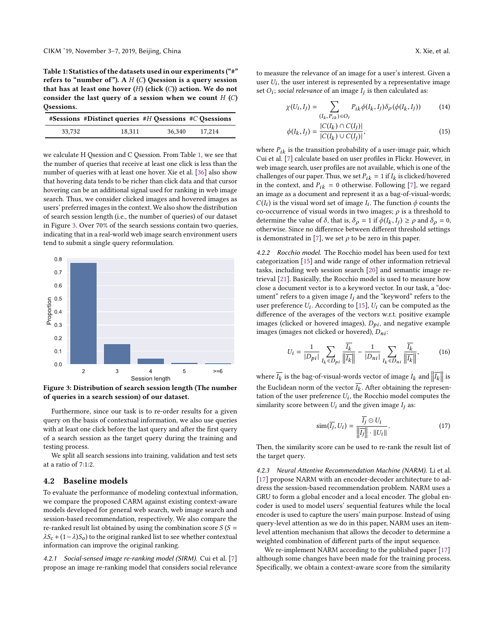<span id="page-5-0"></span>Table 1: Statistics of the datasets used in our experiments ("#" refers to "number of"). A  $H$  (C) Qsession is a query session that has at least one hover  $(H)$  (click  $(C)$ ) action. We do not consider the last query of a session when we count  $H(C)$ Qsessions.

|        | $*S$ essions #Distinct queries #H Osessions #C Osessions |        |        |
|--------|----------------------------------------------------------|--------|--------|
| 33.732 | 18.311                                                   | 36.340 | 17.214 |

we calculate H Qsession and C Qsession. From Table [1,](#page-5-0) we see that the number of queries that receive at least one click is less than the number of queries with at least one hover. Xie et al. [\[36\]](#page-9-3) also show that hovering data tends to be richer than click data and that cursor hovering can be an additional signal used for ranking in web image search. Thus, we consider clicked images and hovered images as users' preferred images in the context. We also show the distribution of search session length (i.e., the number of queries) of our dataset in Figure [3.](#page-5-1) Over 70% of the search sessions contain two queries, indicating that in a real-world web image search environment users tend to submit a single query reformulation.

<span id="page-5-1"></span>

Figure 3: Distribution of search session length (The number of queries in a search session) of our dataset.

Furthermore, since our task is to re-order results for a given query on the basis of contextual information, we also use queries with at least one click before the last query and after the first query of a search session as the target query during the training and testing process.

We split all search sessions into training, validation and test sets at a ratio of 7:1:2.

## 4.2 Baseline models

To evaluate the performance of modeling contextual information, we compare the proposed CARM against existing context-aware models developed for general web search, web image search and session-based recommendation, respectively. We also compare the re-ranked result list obtained by using the combination score  $S(S =$  $\lambda S_c + (1 - \lambda)S_o$ ) to the original ranked list to see whether contextual information can improve the original ranking.

4.2.1 Social-sensed image re-ranking model (SIRM). Cui et al. [\[7\]](#page-9-2) propose an image re-ranking model that considers social relevance to measure the relevance of an image for a user's interest. Given a user  $U_i$ , the user interest is represented by a representative image<br>set  $Q_i$ ; social relevance of an image L is then calculated as: set  $O_i$ ; social relevance of an image  $I_j$  is then calculated as:

$$
\chi(U_i, I_j) = \sum_{(I_k, P_{ik}) \in O_i} P_{ik} \phi(I_k, I_j) \delta_\rho(\phi(I_k, I_j)) \tag{14}
$$

$$
\phi(I_k, I_j) = \frac{|C(I_k) \cap C(I_j)|}{|C(I_k) \cup C(I_j)|},
$$
\n(15)

where  $P_{ik}$  is the transition probability of a user-image pair, which Cui et al. [\[7\]](#page-9-2) calculate based on user profiles in Flickr. However, in web image search, user profiles are not available, which is one of the challenges of our paper. Thus, we set  $P_{ik} = 1$  if  $I_k$  is clicked/hovered<br>in the context, and  $P_{ik} = 0$  otherwise. Following [7], we regard in the context, and  $P_{ik} = 0$  otherwise. Following [\[7\]](#page-9-2), we regard an image as a document and represent it as a bag-of-visual-words;  $C(I_i)$  is the visual word set of image  $I_i$ . The function  $\phi$  counts the co-occurrence of visual words in two images: a is a threshold to co-occurrence of visual words in two images;  $\rho$  is a threshold to determine the value of  $\delta$ , that is,  $\delta_{\rho} = 1$  if  $\phi(I_k, I_j) \ge \rho$  and  $\delta_{\rho} = 0$ , otherwise. Since no difference between different threshold settings otherwise. Since no difference between different threshold settings is demonstrated in [\[7\]](#page-9-2), we set  $\rho$  to be zero in this paper.

4.2.2 Rocchio model. The Rocchio model has been used for text categorization [\[15\]](#page-9-9) and wide range of other information retrieval tasks, including web session search [\[20\]](#page-9-10) and semantic image retrieval [\[21\]](#page-9-32). Basically, the Rocchio model is used to measure how close a document vector is to a keyword vector. In our task, a "document" refers to a given image  $I_j$  and the "keyword" refers to the user preference  $U_i$ . According to [\[15\]](#page-9-9),  $U_i$  can be computed as the difference of the vectors w.r.t. positive example difference of the averages of the vectors w.r.t. positive example images (clicked or hovered images),  $D_{pi}$ , and negative example images (images not clicked or hovered),  $D_{ni}$ :

$$
U_{i} = \frac{1}{|D_{pi}|} \sum_{I_{k} \in D_{pi}} \frac{\overline{I_{k}}}{\|\overline{I_{k}}\|} - \frac{1}{|D_{ni}|} \sum_{I_{k} \in D_{ni}} \frac{\overline{I_{k}}}{\|\overline{I_{k}}\|},
$$
(16)

where  $\overline{I_k}$  is the bag-of-visual-words vector of image  $I_k$  and  $\parallel$ the Euclidean norm of the vector  $\overline{I_k}$ . After obtaining the represen-<br>tation of the user preference  $I_l$ , the Rocchio model computes the  $\|$  is tation of the user preference  $U_i$ , the Rocchio model computes the similarity score between  $U_i$  and the given image  $U_i$  as: similarity score between  $U_i$  and the given image  $I_i$  as:

$$
\text{sim}(\overline{I_j}, U_i) = \frac{\overline{I_j} \odot U_i}{\left\| \overline{I_j} \right\| \cdot \left\| U_i \right\|}. \tag{17}
$$

Then, the similarity score can be used to re-rank the result list of the target query.

4.2.3 Neural Attentive Recommendation Machine (NARM). Li et al. [\[17\]](#page-9-24) propose NARM with an encoder-decoder architecture to address the session-based recommendation problem. NARM uses a GRU to form a global encoder and a local encoder. The global encoder is used to model users' sequential features while the local encoder is used to capture the users' main purpose. Instead of using query-level attention as we do in this paper, NARM uses an itemlevel attention mechanism that allows the decoder to determine a weighted combination of different parts of the input sequence.

We re-implement NARM according to the published paper [\[17\]](#page-9-24) although some changes have been made for the training process. Specifically, we obtain a context-aware score from the similarity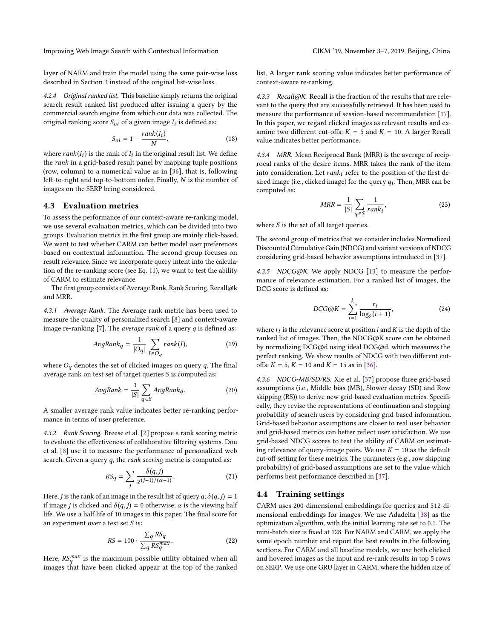Improving Web Image Search with Contextual Information CIKM '19, November 3–7, 2019, Beijing, China

layer of NARM and train the model using the same pair-wise loss described in Section [3](#page-2-0) instead of the original list-wise loss.

4.2.4 Original ranked list. This baseline simply returns the original search result ranked list produced after issuing a query by the commercial search engine from which our data was collected. The original ranking score  $S_{oi}$  of a given image  $I_i$  is defined as:

$$
S_{oi} = 1 - \frac{rank(I_i)}{N},\tag{18}
$$

where  $rank(I_i)$  is the rank of  $I_i$  in the original result list. We define the rank in a grid-based result panel by manning tuple positions the rank in a grid-based result panel by mapping tuple positions (row, column) to a numerical value as in [\[36\]](#page-9-3), that is, following left-to-right and top-to-bottom order. Finally, N is the number of images on the SERP being considered.

## 4.3 Evaluation metrics

To assess the performance of our context-aware re-ranking model, we use several evaluation metrics, which can be divided into two groups. Evaluation metrics in the first group are mainly click-based. We want to test whether CARM can better model user preferences based on contextual information. The second group focuses on result relevance. Since we incorporate query intent into the calculation of the re-ranking score (see Eq. [11\)](#page-4-1), we want to test the ability of CARM to estimate relevance.

The first group consists of Average Rank, Rank Scoring, Recall@k and MRR.

4.3.1 Average Rank. The Average rank metric has been used to measure the quality of personalized search [\[8\]](#page-9-33) and context-aware image re-ranking [\[7\]](#page-9-2). The average rank of a query  $q$  is defined as:

$$
AvgRank_q = \frac{1}{|O_q|} \sum_{I \in O_q} rank(I),
$$
 (19)

where  $O_q$  denotes the set of clicked images on query q. The final average rank on test set of target queries S is computed as:

$$
AvgRank = \frac{1}{|S|} \sum_{q \in S} AvgRankq.
$$
 (20)

A smaller average rank value indicates better re-ranking performance in terms of user preference.

4.3.2 Rank Scoring. Breese et al. [\[2\]](#page-9-34) propose a rank scoring metric to evaluate the effectiveness of collaborative filtering systems. Dou et al. [\[8\]](#page-9-33) use it to measure the performance of personalized web search. Given a query  $q$ , the *rank scoring* metric is computed as:

$$
RS_q = \sum_{j} \frac{\delta(q, j)}{2^{(j-1)/(a-1)}}.
$$
 (21)

Here, *j* is the rank of an image in the result list of query  $q$ ;  $\delta(q, j) = 1$ if image *j* is clicked and  $\delta(q, j) = 0$  otherwise;  $\alpha$  is the viewing half life. We use a half life of 10 images in this paper. The final score for an experiment over a test set  $S$  is:

$$
RS = 100 \cdot \frac{\sum_{q} RS_{q}}{\sum_{q} RS_{q}^{max}}.
$$
 (22)

Here,  $RS_q^{max}$  is the maximum possible utility obtained when all<br>images that have been clicked appear at the top of the ranked images that have been clicked appear at the top of the ranked

list. A larger rank scoring value indicates better performance of context-aware re-ranking.

4.3.3 Recall@K. Recall is the fraction of the results that are relevant to the query that are successfully retrieved. It has been used to measure the performance of session-based recommendation [\[17\]](#page-9-24). In this paper, we regard clicked images as relevant results and examine two different cut-offs:  $K = 5$  and  $K = 10$ . A larger Recall value indicates better performance.

4.3.4 MRR. Mean Reciprocal Rank (MRR) is the average of reciprocal ranks of the desire items. MRR takes the rank of the item into consideration. Let  $rank_i$  refer to the position of the first desired image (i.e., clicked image) for the query  $q_i$ . Then, MRR can be computed as: computed as:

$$
MRR = \frac{1}{|S|} \sum_{q \in S} \frac{1}{rank_i},
$$
\n(23)

where  $S$  is the set of all target queries.

The second group of metrics that we consider includes Normalized Discounted Cumulative Gain (NDCG) and variant versions of NDCG considering grid-based behavior assumptions introduced in [\[37\]](#page-9-35).

4.3.5 NDCG@K. We apply NDCG [\[13\]](#page-9-36) to measure the performance of relevance estimation. For a ranked list of images, the DCG score is defined as:

$$
DCG@K = \sum_{i=1}^{k} \frac{r_i}{\log_2(i+1)},\tag{24}
$$

where  $r_i$  is the relevance score at position *i* and *K* is the depth of the ranked list of images. Then, the NDCG@K score can be obtained ranked list of images. Then, the NDCG@K score can be obtained by normalizing DCG@d using ideal DCG@d, which measures the perfect ranking. We show results of NDCG with two different cutoffs:  $K = 5$ ,  $K = 10$  and  $K = 15$  as in [\[36\]](#page-9-3).

4.3.6 NDCG-MB/SD/RS. Xie et al. [\[37\]](#page-9-35) propose three grid-based assumptions (i.e., Middle bias (MB), Slower decay (SD) and Row skipping (RS)) to derive new grid-based evaluation metrics. Specifically, they revise the representations of continuation and stopping probability of search users by considering grid-based information. Grid-based behavior assumptions are closer to real user behavior and grid-based metrics can better reflect user satisfaction. We use grid-based NDCG scores to test the ability of CARM on estimating relevance of query-image pairs. We use  $K = 10$  as the default cut-off setting for these metrics. The parameters (e.g., row skipping probability) of grid-based assumptions are set to the value which performs best performance described in [\[37\]](#page-9-35).

## 4.4 Training settings

CARM uses 200-dimensional embeddings for queries and 512-dimensional embeddings for images. We use Adadelta [\[38\]](#page-9-37) as the optimization algorithm, with the initial learning rate set to 0.1. The mini-batch size is fixed at 128. For NARM and CARM, we apply the same epoch number and report the best results in the following sections. For CARM and all baseline models, we use both clicked and hovered images as the input and re-rank results in top 5 rows on SERP. We use one GRU layer in CARM, where the hidden size of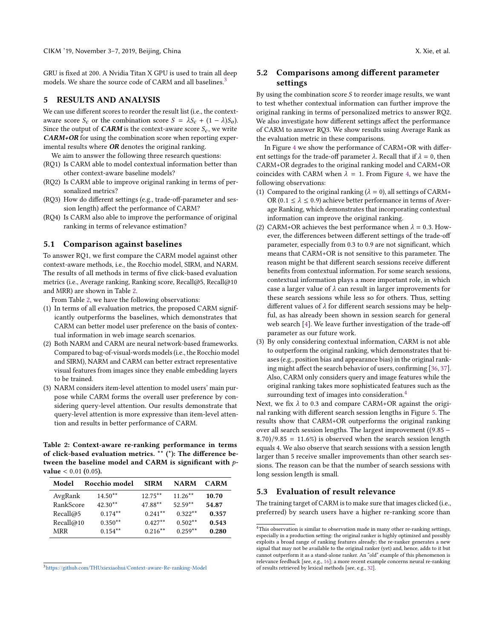GRU is fixed at 200. A Nvidia Titan X GPU is used to train all deep models. We share the source code of CARM and all baselines.<sup>[3](#page-7-0)</sup>

## 5 RESULTS AND ANALYSIS

We can use different scores to reorder the result list (i.e., the contextaware score  $S_c$  or the combination score  $S = \lambda S_c + (1 - \lambda)S_o$ . Since the output of **CARM** is the context-aware score  $S_c$ , we write CARM+OR for using the combination score when reporting experimental results where  $OR$  denotes the original ranking.

We aim to answer the following three research questions:

- (RQ1) Is CARM able to model contextual information better than other context-aware baseline models?
- (RQ2) Is CARM able to improve original ranking in terms of personalized metrics?
- (RQ3) How do different settings (e.g., trade-off-parameter and session length) affect the performance of CARM?
- (RQ4) Is CARM also able to improve the performance of original ranking in terms of relevance estimation?

## 5.1 Comparison against baselines

To answer RQ1, we first compare the CARM model against other context-aware methods, i.e., the Rocchio model, SIRM, and NARM. The results of all methods in terms of five click-based evaluation metrics (i.e., Average ranking, Ranking score, Recall@5, Recall@10 and MRR) are shown in Table [2.](#page-7-1)

From Table [2,](#page-7-1) we have the following observations:

- (1) In terms of all evaluation metrics, the proposed CARM significantly outperforms the baselines, which demonstrates that CARM can better model user preference on the basis of contextual information in web image search scenarios.
- (2) Both NARM and CARM are neural network-based frameworks. Compared to bag-of-visual-words models (i.e., the Rocchio model and SIRM), NARM and CARM can better extract representative visual features from images since they enable embedding layers to be trained.
- (3) NARM considers item-level attention to model users' main purpose while CARM forms the overall user preference by considering query-level attention. Our results demonstrate that query-level attention is more expressive than item-level attention and results in better performance of CARM.

<span id="page-7-1"></span>Table 2: Context-aware re-ranking performance in terms of click-based evaluation metrics. \*\* (\*): The difference between the baseline model and CARM is significant with pvalue  $< 0.01$  (0.05).

| Model     | Rocchio model | <b>SIRM</b> | <b>NARM</b> | <b>CARM</b> |
|-----------|---------------|-------------|-------------|-------------|
| AvgRank   | $14.50**$     | $12.75**$   | $11.26**$   | 10.70       |
| RankScore | $42.30**$     | 47.88**     | $52.59**$   | 54.87       |
| Recall@5  | $0.174***$    | $0.241**$   | $0.322**$   | 0.357       |
| Recall@10 | $0.350**$     | $0.427**$   | $0.502**$   | 0.543       |
| MRR       | $0.154**$     | $0.216***$  | $0.259**$   | 0.280       |

<span id="page-7-0"></span><sup>3</sup><https://github.com/THUxiexiaohui/Context-aware-Re-ranking-Model>

# 5.2 Comparisons among different parameter settings

By using the combination score  $S$  to reorder image results, we want to test whether contextual information can further improve the original ranking in terms of personalized metrics to answer RQ2. We also investigate how different settings affect the performance of CARM to answer RQ3. We show results using Average Rank as the evaluation metric in these comparisons.

In Figure [4](#page-8-0) we show the performance of CARM+OR with different settings for the trade-off parameter  $\lambda$ . Recall that if  $\lambda = 0$ , then CARM+OR degrades to the original ranking model and CARM+OR coincides with CARM when  $\lambda = 1$ . From Figure [4,](#page-8-0) we have the following observations:

- (1) Compared to the original ranking ( $\lambda = 0$ ), all settings of CARM+ OR (0.1  $\leq \lambda \leq$  0.9) achieve better performance in terms of Average Ranking, which demonstrates that incorporating contextual information can improve the original ranking.
- (2) CARM+OR achieves the best performance when  $\lambda = 0.3$ . However, the differences between different settings of the trade-off parameter, especially from 0.3 to 0.9 are not significant, which means that CARM+OR is not sensitive to this parameter. The reason might be that different search sessions receive different benefits from contextual information. For some search sessions, contextual information plays a more important role, in which case a larger value of  $\lambda$  can result in larger improvements for these search sessions while less so for others. Thus, setting different values of  $\lambda$  for different search sessions may be helpful, as has already been shown in session search for general web search [\[4\]](#page-9-38). We leave further investigation of the trade-off parameter as our future work.
- (3) By only considering contextual information, CARM is not able to outperform the original ranking, which demonstrates that biases (e.g., position bias and appearance bias) in the original ranking might affect the search behavior of users, confirming [\[36,](#page-9-3) [37\]](#page-9-35). Also, CARM only considers query and image features while the original ranking takes more sophisticated features such as the surrounding text of images into consideration.<sup>[4](#page-7-2)</sup>

Next, we fix  $\lambda$  to 0.3 and compare CARM+OR against the original ranking with different search session lengths in Figure [5.](#page-8-1) The results show that CARM+OR outperforms the original ranking over all search session lengths. The largest improvement ((9.<sup>85</sup> <sup>−</sup>  $8.70$ )/9.85 = 11.6%) is observed when the search session length equals 4. We also observe that search sessions with a session length larger than 5 receive smaller improvements than other search sessions. The reason can be that the number of search sessions with long session length is small.

## 5.3 Evaluation of result relevance

The training target of CARM is to make sure that images clicked (i.e., preferred) by search users have a higher re-ranking score than

<span id="page-7-2"></span><sup>&</sup>lt;sup>4</sup>This observation is similar to observation made in many other re-ranking settings, especially in a production setting: the original ranker is highly optimized and possibly exploits a broad range of ranking features already; the re-ranker generates a new signal that may not be available to the original ranker (yet) and, hence, adds to it but cannot outperform it as a stand-alone ranker. An "old" example of this phenomenon is relevance feedback [see, e.g., [16\]](#page-9-39); a more recent example concerns neural re-ranking of results retrieved by lexical methods [see, e.g., [32\]](#page-9-30).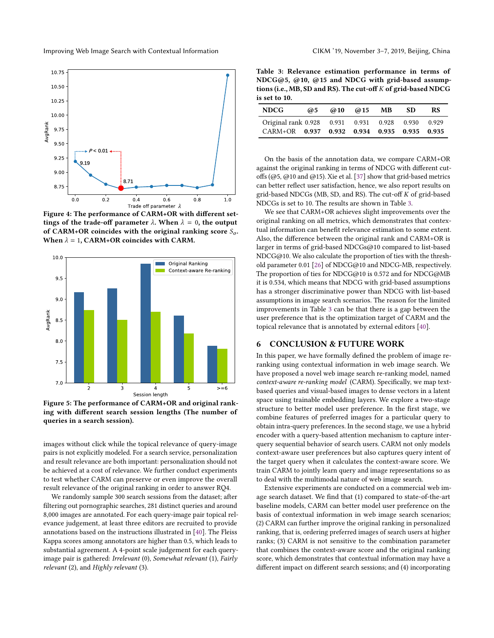<span id="page-8-0"></span>

Figure 4: The performance of CARM+OR with different settings of the trade-off parameter  $\lambda$ . When  $\lambda = 0$ , the output of CARM+OR coincides with the original ranking score  $S_0$ . When  $\lambda = 1$ , CARM+OR coincides with CARM.

<span id="page-8-1"></span>

Figure 5: The performance of CARM+OR and original ranking with different search session lengths (The number of queries in a search session).

images without click while the topical relevance of query-image pairs is not explicitly modeled. For a search service, personalization and result relevance are both important: personalization should not be achieved at a cost of relevance. We further conduct experiments to test whether CARM can preserve or even improve the overall result relevance of the original ranking in order to answer RQ4.

We randomly sample 300 search sessions from the dataset; after filtering out pornographic searches, 281 distinct queries and around 8,000 images are annotated. For each query-image pair topical relevance judgement, at least three editors are recruited to provide annotations based on the instructions illustrated in [\[40\]](#page-9-40). The Fleiss Kappa scores among annotators are higher than 0.5, which leads to substantial agreement. A 4-point scale judgement for each queryimage pair is gathered: Irrelevant (0), Somewhat relevant (1), Fairly relevant (2), and Highly relevant (3).

<span id="page-8-2"></span>Table 3: Relevance estimation performance in terms of NDCG@5, @10, @15 and NDCG with grid-based assumptions (i.e., MB, SD and RS). The cut-off K of grid-based NDCG is set to 10.

| NDCG.                                       | @5 | @10 | @15 | MВ    | -SD   | RS    |
|---------------------------------------------|----|-----|-----|-------|-------|-------|
| Original rank 0.928 0.931 0.931             |    |     |     | 0.928 | 0.930 | 0.929 |
| CARM+OR 0.937 0.932 0.934 0.935 0.935 0.935 |    |     |     |       |       |       |

On the basis of the annotation data, we compare CARM+OR against the original ranking in terms of NDCG with different cutoffs ( $@5$ ,  $@10$  and  $@15$ ). Xie et al. [\[37\]](#page-9-35) show that grid-based metrics can better reflect user satisfaction, hence, we also report results on grid-based NDCGs (MB, SD, and RS). The cut-off K of grid-based NDCGs is set to 10. The results are shown in Table [3.](#page-8-2)

We see that CARM+OR achieves slight improvements over the original ranking on all metrics, which demonstrates that contextual information can benefit relevance estimation to some extent. Also, the difference between the original rank and CARM+OR is larger in terms of grid-based NDCGs@10 compared to list-based NDCG@10. We also calculate the proportion of ties with the threshold parameter 0.01 [\[26\]](#page-9-41) of NDCG@10 and NDCG-MB, respectively. The proportion of ties for NDCG@10 is 0.572 and for NDCG@MB it is 0.534, which means that NDCG with grid-based assumptions has a stronger discriminative power than NDCG with list-based assumptions in image search scenarios. The reason for the limited improvements in Table [3](#page-8-2) can be that there is a gap between the user preference that is the optimization target of CARM and the topical relevance that is annotated by external editors [\[40\]](#page-9-40).

## 6 CONCLUSION & FUTURE WORK

In this paper, we have formally defined the problem of image reranking using contextual information in web image search. We have proposed a novel web image search re-ranking model, named context-aware re-ranking model (CARM). Specifically, we map textbased queries and visual-based images to dense vectors in a latent space using trainable embedding layers. We explore a two-stage structure to better model user preference. In the first stage, we combine features of preferred images for a particular query to obtain intra-query preferences. In the second stage, we use a hybrid encoder with a query-based attention mechanism to capture interquery sequential behavior of search users. CARM not only models context-aware user preferences but also captures query intent of the target query when it calculates the context-aware score. We train CARM to jointly learn query and image representations so as to deal with the multimodal nature of web image search.

Extensive experiments are conducted on a commercial web image search dataset. We find that (1) compared to state-of-the-art baseline models, CARM can better model user preference on the basis of contextual information in web image search scenarios; (2) CARM can further improve the original ranking in personalized ranking, that is, ordering preferred images of search users at higher ranks; (3) CARM is not sensitive to the combination parameter that combines the context-aware score and the original ranking score, which demonstrates that contextual information may have a different impact on different search sessions; and (4) incorporating